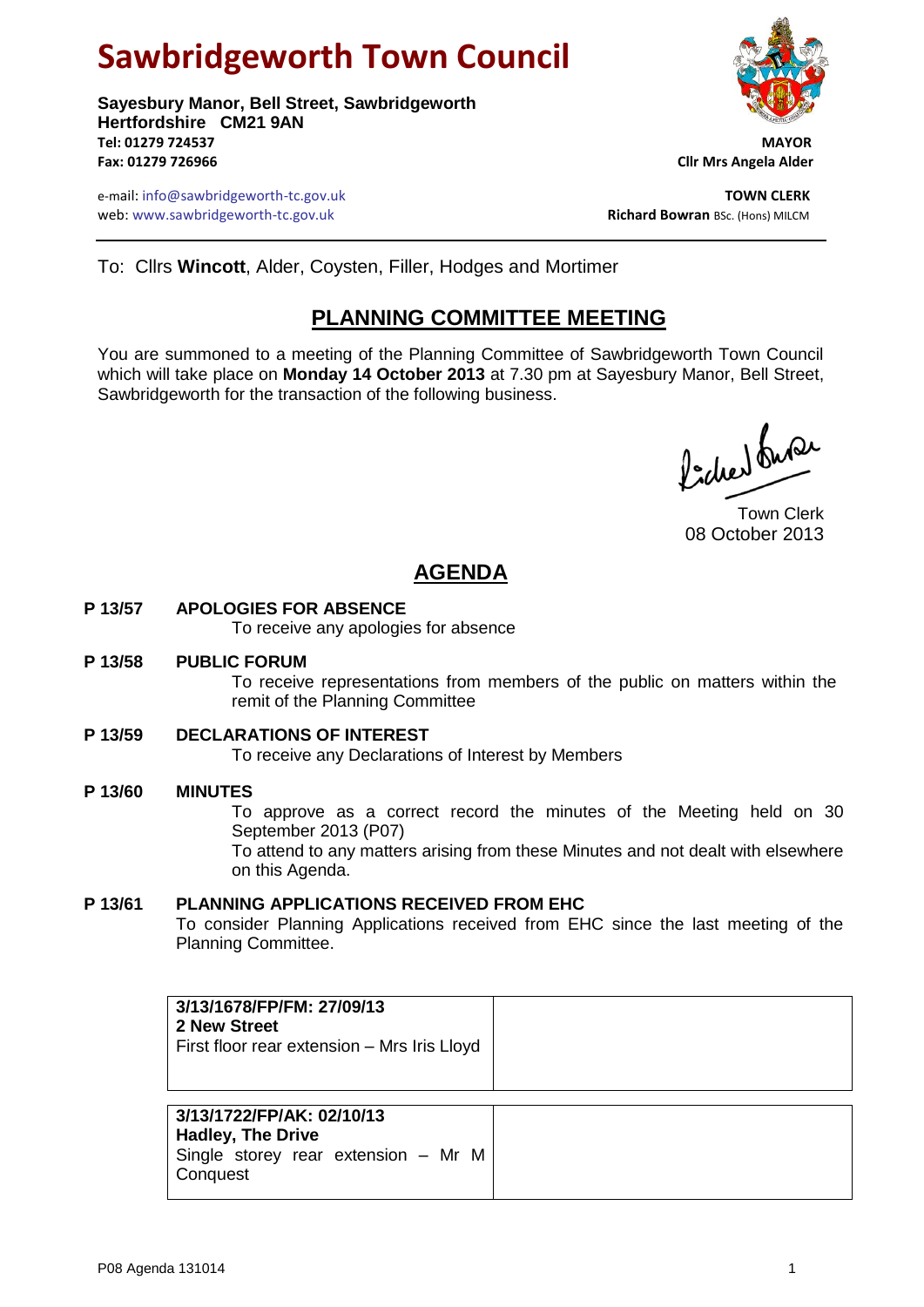# **Sawbridgeworth Town Council**

**Sayesbury Manor, Bell Street, Sawbridgeworth Hertfordshire CM21 9AN Tel: 01279 724537 MAYOR Fax: 01279 726966 Cllr Mrs Angela Alder**

e-mail: info@sawbridgeworth-tc.gov.uk **TOWN CLERK** web: www.sawbridgeworth-tc.gov.uk

To: Cllrs **Wincott**, Alder, Coysten, Filler, Hodges and Mortimer

## **PLANNING COMMITTEE MEETING**

You are summoned to a meeting of the Planning Committee of Sawbridgeworth Town Council which will take place on **Monday 14 October 2013** at 7.30 pm at Sayesbury Manor, Bell Street, Sawbridgeworth for the transaction of the following business.

ladres buse

Town Clerk 08 October 2013

# **AGENDA**

#### **P 13/57 APOLOGIES FOR ABSENCE**

To receive any apologies for absence

#### **P 13/58 PUBLIC FORUM**

To receive representations from members of the public on matters within the remit of the Planning Committee

#### **P 13/59 DECLARATIONS OF INTEREST**

To receive any Declarations of Interest by Members

#### **P 13/60 MINUTES**

To approve as a correct record the minutes of the Meeting held on 30 September 2013 (P07)

To attend to any matters arising from these Minutes and not dealt with elsewhere on this Agenda.

#### **P 13/61 PLANNING APPLICATIONS RECEIVED FROM EHC**

To consider Planning Applications received from EHC since the last meeting of the Planning Committee.

| 3/13/1678/FP/FM: 27/09/13<br>2 New Street<br>First floor rear extension - Mrs Iris Lloyd                 |  |
|----------------------------------------------------------------------------------------------------------|--|
| 3/13/1722/FP/AK: 02/10/13<br><b>Hadley, The Drive</b><br>Single storey rear extension - Mr M<br>Conquest |  |